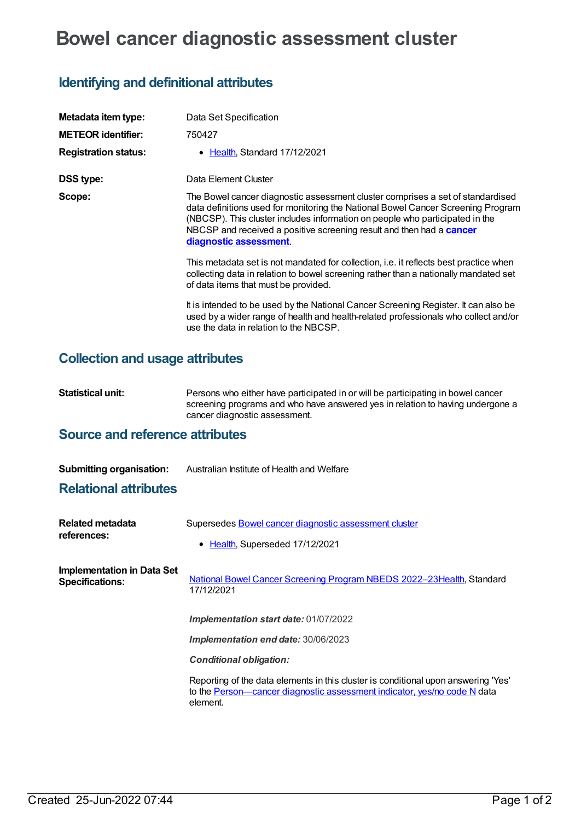# **Bowel cancer diagnostic assessment cluster**

### **Identifying and definitional attributes**

| Metadata item type:         | Data Set Specification                                                                                                                                                                                                                                                                                                                                      |
|-----------------------------|-------------------------------------------------------------------------------------------------------------------------------------------------------------------------------------------------------------------------------------------------------------------------------------------------------------------------------------------------------------|
| <b>METEOR identifier:</b>   | 750427                                                                                                                                                                                                                                                                                                                                                      |
| <b>Registration status:</b> | • Health, Standard 17/12/2021                                                                                                                                                                                                                                                                                                                               |
| <b>DSS type:</b>            | Data Element Cluster                                                                                                                                                                                                                                                                                                                                        |
| Scope:                      | The Bowel cancer diagnostic assessment cluster comprises a set of standardised<br>data definitions used for monitoring the National Bowel Cancer Screening Program<br>(NBCSP). This cluster includes information on people who participated in the<br>NBCSP and received a positive screening result and then had a <b>cancer</b><br>diagnostic assessment. |
|                             | This metadata set is not mandated for collection, i.e. it reflects best practice when<br>collecting data in relation to bowel screening rather than a nationally mandated set<br>of data items that must be provided.                                                                                                                                       |
|                             | It is intended to be used by the National Cancer Screening Register. It can also be<br>used by a wider range of health and health-related professionals who collect and/or<br>use the data in relation to the NBCSP.                                                                                                                                        |

#### **Collection and usage attributes**

**Statistical unit:** Persons who either have participated in or will be participating in bowel cancer screening programs and who have answered yes in relation to having undergone a cancer diagnostic assessment.

#### **Source and reference attributes**

| <b>Submitting organisation:</b> | Australian Institute of Health and Welfare |
|---------------------------------|--------------------------------------------|
|---------------------------------|--------------------------------------------|

#### **Relational attributes**

| <b>Related metadata</b><br>references:               | Supersedes Bowel cancer diagnostic assessment cluster<br>• Health, Superseded 17/12/2021                                                                                   |
|------------------------------------------------------|----------------------------------------------------------------------------------------------------------------------------------------------------------------------------|
| Implementation in Data Set<br><b>Specifications:</b> | National Bowel Cancer Screening Program NBEDS 2022-23 Health, Standard<br>17/12/2021                                                                                       |
|                                                      | Implementation start date: 01/07/2022                                                                                                                                      |
|                                                      | Implementation end date: 30/06/2023                                                                                                                                        |
|                                                      | <b>Conditional obligation:</b>                                                                                                                                             |
|                                                      | Reporting of the data elements in this cluster is conditional upon answering 'Yes'<br>to the Person—cancer diagnostic assessment indicator, yes/no code N data<br>element. |